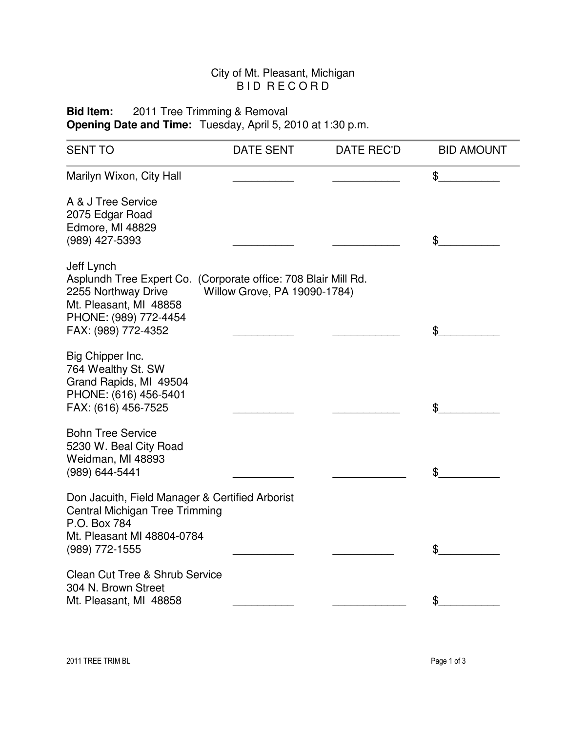## City of Mt. Pleasant, Michigan B I D R E CORD

**Bid Item:** 2011 Tree Trimming & Removal **Opening Date and Time:** Tuesday, April 5, 2010 at 1:30 p.m.

| <b>SENT TO</b>                                                                                                                                                                | <b>DATE SENT</b>             | <b>DATE REC'D</b> | <b>BID AMOUNT</b> |
|-------------------------------------------------------------------------------------------------------------------------------------------------------------------------------|------------------------------|-------------------|-------------------|
| Marilyn Wixon, City Hall                                                                                                                                                      |                              |                   | \$                |
| A & J Tree Service<br>2075 Edgar Road<br>Edmore, MI 48829<br>(989) 427-5393                                                                                                   |                              |                   | \$                |
| Jeff Lynch<br>Asplundh Tree Expert Co. (Corporate office: 708 Blair Mill Rd.<br>2255 Northway Drive<br>Mt. Pleasant, MI 48858<br>PHONE: (989) 772-4454<br>FAX: (989) 772-4352 | Willow Grove, PA 19090-1784) |                   | \$                |
| Big Chipper Inc.<br>764 Wealthy St. SW<br>Grand Rapids, MI 49504<br>PHONE: (616) 456-5401<br>FAX: (616) 456-7525                                                              |                              |                   | \$                |
| <b>Bohn Tree Service</b><br>5230 W. Beal City Road<br>Weidman, MI 48893<br>(989) 644-5441                                                                                     |                              |                   | \$                |
| Don Jacuith, Field Manager & Certified Arborist<br>Central Michigan Tree Trimming<br>P.O. Box 784<br>Mt. Pleasant MI 48804-0784<br>(989) 772-1555                             |                              |                   | \$                |
| <b>Clean Cut Tree &amp; Shrub Service</b><br>304 N. Brown Street<br>Mt. Pleasant, MI 48858                                                                                    |                              |                   | \$                |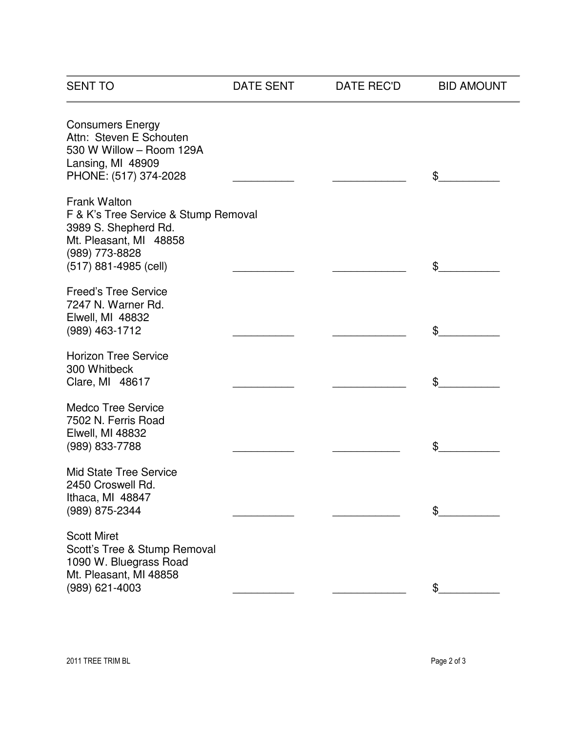| <b>SENT TO</b>                                                                                                                                    | DATE SENT | DATE REC'D | <b>BID AMOUNT</b> |
|---------------------------------------------------------------------------------------------------------------------------------------------------|-----------|------------|-------------------|
| <b>Consumers Energy</b><br>Attn: Steven E Schouten<br>530 W Willow - Room 129A<br>Lansing, MI 48909<br>PHONE: (517) 374-2028                      |           |            | \$                |
| Frank Walton<br>F & K's Tree Service & Stump Removal<br>3989 S. Shepherd Rd.<br>Mt. Pleasant, MI 48858<br>(989) 773-8828<br>(517) 881-4985 (cell) |           |            | \$                |
| <b>Freed's Tree Service</b><br>7247 N. Warner Rd.<br><b>Elwell, MI 48832</b><br>(989) 463-1712                                                    |           |            | \$                |
| <b>Horizon Tree Service</b><br>300 Whitbeck<br>Clare, MI 48617                                                                                    |           |            | \$                |
| <b>Medco Tree Service</b><br>7502 N. Ferris Road<br><b>Elwell, MI 48832</b><br>(989) 833-7788                                                     |           |            | \$                |
| <b>Mid State Tree Service</b><br>2450 Croswell Rd.<br>Ithaca, MI 48847<br>(989) 875-2344                                                          |           |            | \$                |
| <b>Scott Miret</b><br>Scott's Tree & Stump Removal<br>1090 W. Bluegrass Road<br>Mt. Pleasant, MI 48858<br>(989) 621-4003                          |           |            |                   |